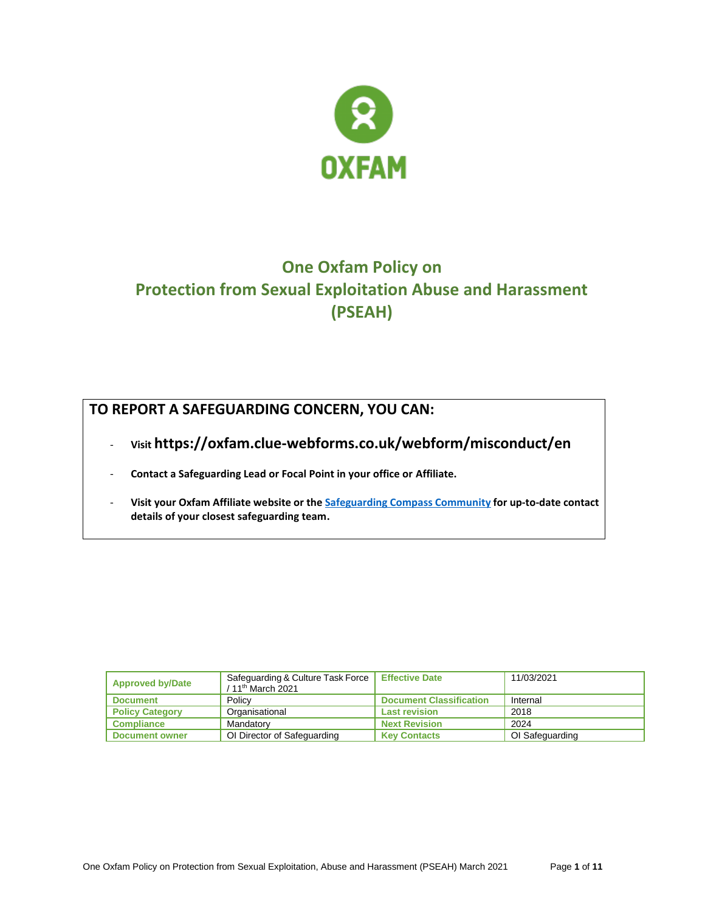

# **One Oxfam Policy on Protection from Sexual Exploitation Abuse and Harassment (PSEAH)**

# **TO REPORT A SAFEGUARDING CONCERN, YOU CAN:**

- **Visit https://oxfam.clue-webforms.co.uk/webform/misconduct/en**
- **Contact a Safeguarding Lead or Focal Point in your office or Affiliate.**
- **Visit your Oxfam Affiliate website or th[e Safeguarding Compass Community](https://compass.oxfam.org/communities/safeguarding-community/wiki/reporting-safeguarding-concern) for up-to-date contact details of your closest safeguarding team.**

| <b>Approved by/Date</b> | Safeguarding & Culture Task Force<br>/ 11 <sup>th</sup> March 2021 | <b>Effective Date</b>          | 11/03/2021      |
|-------------------------|--------------------------------------------------------------------|--------------------------------|-----------------|
| <b>Document</b>         | Policy                                                             | <b>Document Classification</b> | Internal        |
| <b>Policy Category</b>  | Organisational                                                     | <b>Last revision</b>           | 2018            |
| <b>Compliance</b>       | Mandatory                                                          | <b>Next Revision</b>           | 2024            |
| <b>Document owner</b>   | OI Director of Safeguarding                                        | <b>Key Contacts</b>            | OI Safeguarding |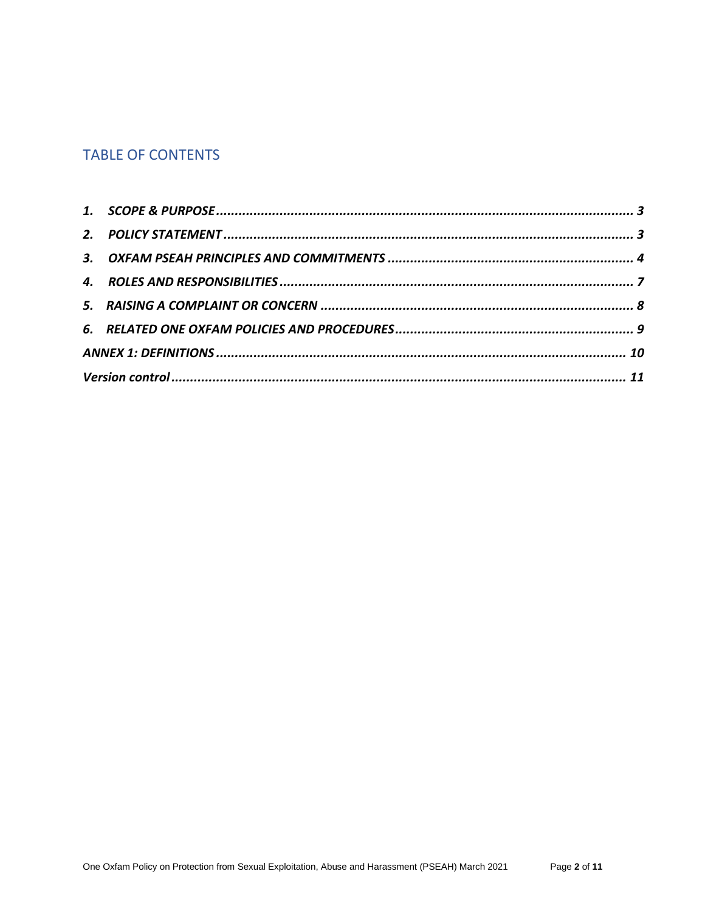# **TABLE OF CONTENTS**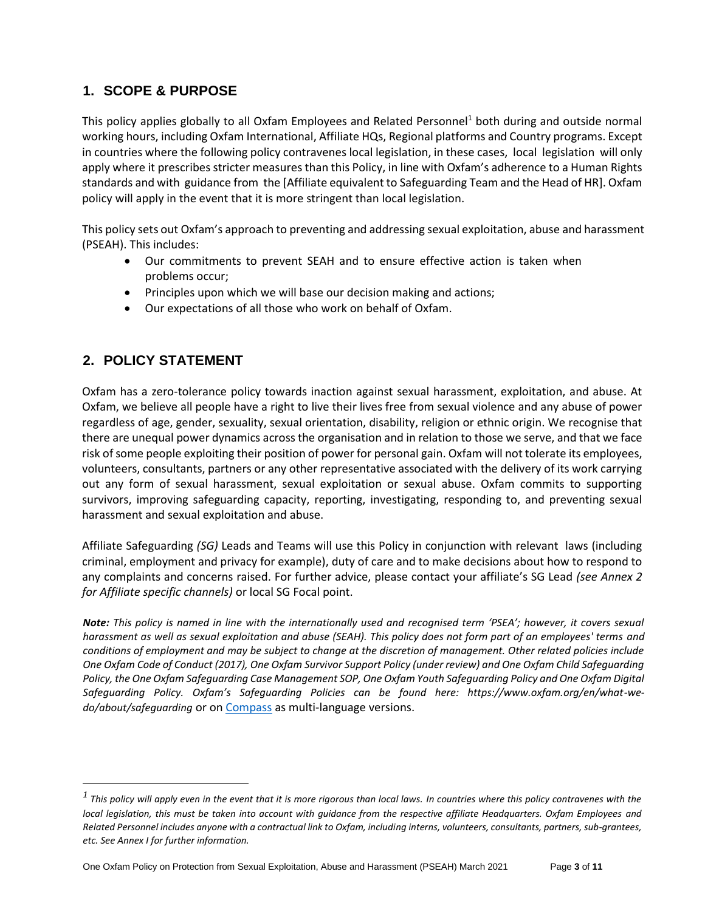### <span id="page-2-0"></span>**1. SCOPE & PURPOSE**

This policy applies globally to all Oxfam Employees and Related Personnel<sup>1</sup> both during and outside normal working hours, including Oxfam International, Affiliate HQs, Regional platforms and Country programs. Except in countries where the following policy contravenes local legislation, in these cases, local legislation will only apply where it prescribes stricter measures than this Policy, in line with Oxfam's adherence to a Human Rights standards and with guidance from the [Affiliate equivalent to Safeguarding Team and the Head of HR]. Oxfam policy will apply in the event that it is more stringent than local legislation.

This policy sets out Oxfam's approach to preventing and addressing sexual exploitation, abuse and harassment (PSEAH). This includes:

- Our commitments to prevent SEAH and to ensure effective action is taken when problems occur;
- Principles upon which we will base our decision making and actions;
- Our expectations of all those who work on behalf of Oxfam.

### <span id="page-2-1"></span>**2. POLICY STATEMENT**

Oxfam has a zero-tolerance policy towards inaction against sexual harassment, exploitation, and abuse. At Oxfam, we believe all people have a right to live their lives free from sexual violence and any abuse of power regardless of age, gender, sexuality, sexual orientation, disability, religion or ethnic origin. We recognise that there are unequal power dynamics across the organisation and in relation to those we serve, and that we face risk of some people exploiting their position of power for personal gain. Oxfam will not tolerate its employees, volunteers, consultants, partners or any other representative associated with the delivery of its work carrying out any form of sexual harassment, sexual exploitation or sexual abuse. Oxfam commits to supporting survivors, improving safeguarding capacity, reporting, investigating, responding to, and preventing sexual harassment and sexual exploitation and abuse.

Affiliate Safeguarding *(SG)* Leads and Teams will use this Policy in conjunction with relevant laws (including criminal, employment and privacy for example), duty of care and to make decisions about how to respond to any complaints and concerns raised. For further advice, please contact your affiliate's SG Lead *(see Annex 2 for Affiliate specific channels)* or local SG Focal point.

*Note: This policy is named in line with the internationally used and recognised term 'PSEA'; however, it covers sexual harassment as well as sexual exploitation and abuse (SEAH). This policy does not form part of an employees' terms and conditions of employment and may be subject to change at the discretion of management. Other related policies include One Oxfam Code of Conduct (2017), One Oxfam Survivor Support Policy (under review) and One Oxfam Child Safeguarding Policy, the One Oxfam Safeguarding Case Management SOP, One Oxfam Youth Safeguarding Policy and One Oxfam Digital Safeguarding Policy. Oxfam's Safeguarding Policies can be found here: https://www.oxfam.org/en/what-wedo/about/safeguarding* or on [Compass](https://compass.oxfam.org/communities/safeguarding-community/wiki/one-oxfam-safeguarding-documents) as multi-language versions.

*<sup>1</sup> This policy will apply even in the event that it is more rigorous than local laws. In countries where this policy contravenes with the local legislation, this must be taken into account with quidance from the respective affiliate Headquarters. Oxfam Employees and Related Personnel includes anyone with a contractual link to Oxfam, including interns, volunteers, consultants, partners, sub-grantees, etc. See Annex I for further information.*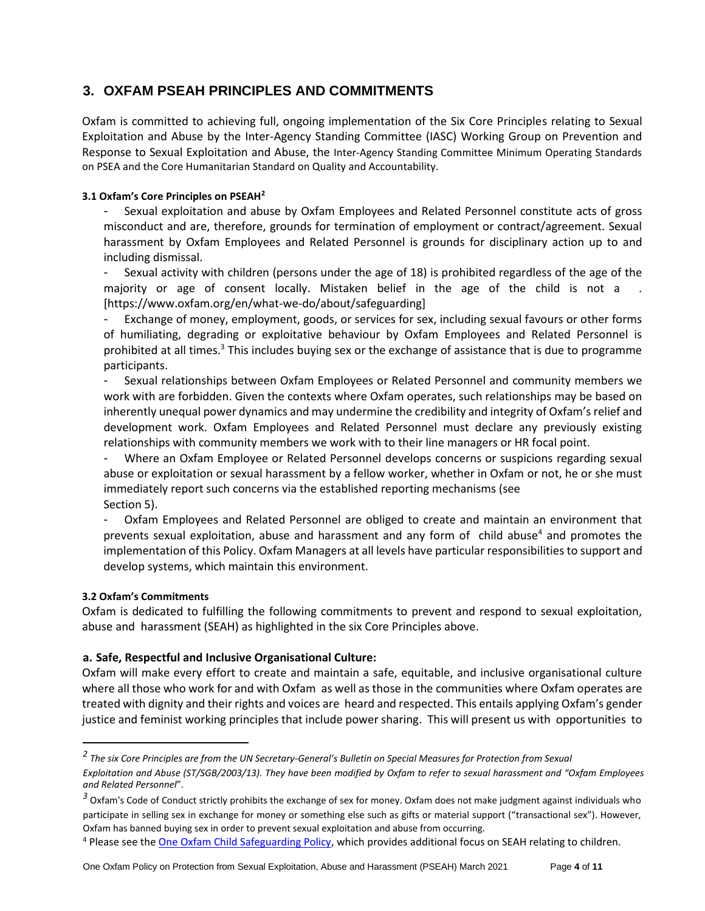### <span id="page-3-0"></span>**3. OXFAM PSEAH PRINCIPLES AND COMMITMENTS**

Oxfam is committed to achieving full, ongoing implementation of the Six Core Principles relating to Sexual Exploitation and Abuse by the Inter-Agency Standing Committee (IASC) Working Group on Prevention and Response to Sexual Exploitation and Abuse, the Inter-Agency Standing Committee Minimum Operating Standards on PSEA and the Core Humanitarian Standard on Quality and Accountability.

### **3.1 Oxfam's Core Principles on PSEAH<sup>2</sup>**

- Sexual exploitation and abuse by Oxfam Employees and Related Personnel constitute acts of gross misconduct and are, therefore, grounds for termination of employment or contract/agreement. Sexual harassment by Oxfam Employees and Related Personnel is grounds for disciplinary action up to and including dismissal.

Sexual activity with children (persons under the age of 18) is prohibited regardless of the age of the majority or age of consent locally. Mistaken belief in the age of the child is not a . [https://www.oxfam.org/en/what-we-do/about/safeguarding]

Exchange of money, employment, goods, or services for sex, including sexual favours or other forms of humiliating, degrading or exploitative behaviour by Oxfam Employees and Related Personnel is prohibited at all times.<sup>3</sup> This includes buying sex or the exchange of assistance that is due to programme participants.

- Sexual relationships between Oxfam Employees or Related Personnel and community members we work with are forbidden. Given the contexts where Oxfam operates, such relationships may be based on inherently unequal power dynamics and may undermine the credibility and integrity of Oxfam's relief and development work. Oxfam Employees and Related Personnel must declare any previously existing relationships with community members we work with to their line managers or HR focal point.

- Where an Oxfam Employee or Related Personnel develops concerns or suspicions regarding sexual abuse or exploitation or sexual harassment by a fellow worker, whether in Oxfam or not, he or she must immediately report such concerns via the established reporting mechanisms (see Section 5).

- Oxfam Employees and Related Personnel are obliged to create and maintain an environment that prevents sexual exploitation, abuse and harassment and any form of child abuse<sup>4</sup> and promotes the implementation of this Policy. Oxfam Managers at all levels have particular responsibilities to support and develop systems, which maintain this environment.

### **3.2 Oxfam's Commitments**

Oxfam is dedicated to fulfilling the following commitments to prevent and respond to sexual exploitation, abuse and harassment (SEAH) as highlighted in the six Core Principles above.

### **a. Safe, Respectful and Inclusive Organisational Culture:**

Oxfam will make every effort to create and maintain a safe, equitable, and inclusive organisational culture where all those who work for and with Oxfam as well as those in the communities where Oxfam operates are treated with dignity and their rights and voices are heard and respected. This entails applying Oxfam's gender justice and feminist working principles that include power sharing. This will present us with opportunities to

*<sup>2</sup> The six Core Principles are from the UN Secretary-General's Bulletin on Special Measures for Protection from Sexual* 

*Exploitation and Abuse (ST/SGB/2003/13). They have been modified by Oxfam to refer to sexual harassment and "Oxfam Employees and Related Personnel*".

*<sup>3</sup>* Oxfam's Code of Conduct strictly prohibits the exchange of sex for money. Oxfam does not make judgment against individuals who participate in selling sex in exchange for money or something else such as gifts or material support ("transactional sex"). However, Oxfam has banned buying sex in order to prevent sexual exploitation and abuse from occurring.

<sup>&</sup>lt;sup>4</sup> Please see the **One Oxfam Child Safeguarding Policy**, which provides additional focus on SEAH relating to children.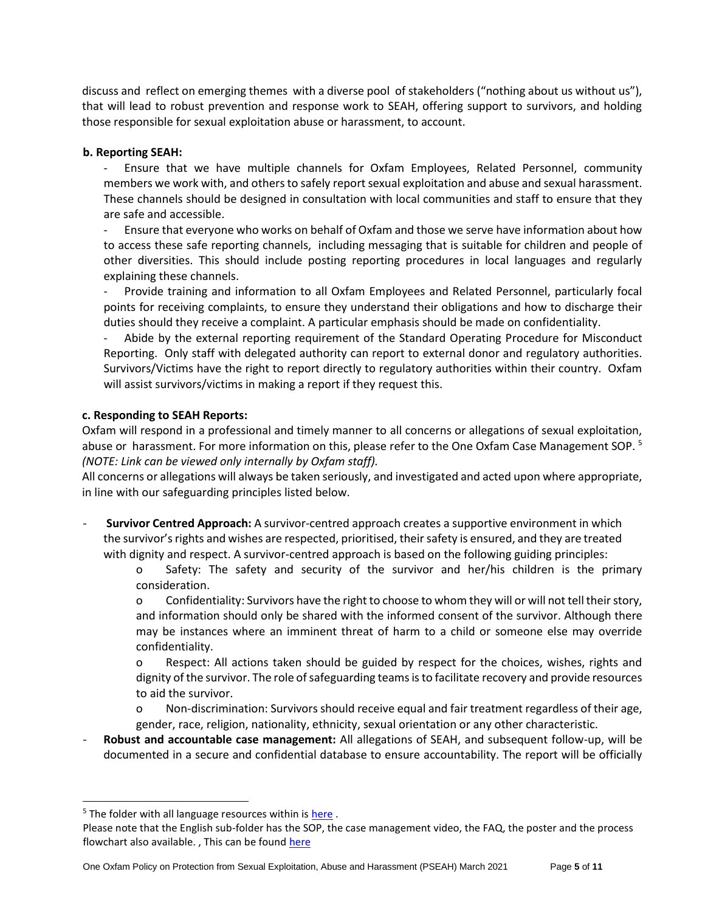discuss and reflect on emerging themes with a diverse pool of stakeholders ("nothing about us without us"), that will lead to robust prevention and response work to SEAH, offering support to survivors, and holding those responsible for sexual exploitation abuse or harassment, to account.

### **b. Reporting SEAH:**

- Ensure that we have multiple channels for Oxfam Employees, Related Personnel, community members we work with, and others to safely report sexual exploitation and abuse and sexual harassment. These channels should be designed in consultation with local communities and staff to ensure that they are safe and accessible.

- Ensure that everyone who works on behalf of Oxfam and those we serve have information about how to access these safe reporting channels, including messaging that is suitable for children and people of other diversities. This should include posting reporting procedures in local languages and regularly explaining these channels.

- Provide training and information to all Oxfam Employees and Related Personnel, particularly focal points for receiving complaints, to ensure they understand their obligations and how to discharge their duties should they receive a complaint. A particular emphasis should be made on confidentiality.

- Abide by the external reporting requirement of the Standard Operating Procedure for Misconduct Reporting. Only staff with delegated authority can report to external donor and regulatory authorities. Survivors/Victims have the right to report directly to regulatory authorities within their country. Oxfam will assist survivors/victims in making a report if they request this.

### **c. Responding to SEAH Reports:**

Oxfam will respond in a professional and timely manner to all concerns or allegations of sexual exploitation, abuse or harassment. For more information on this, please refer to the One Oxfam Case Management SOP. <sup>5</sup> *(NOTE: Link can be viewed only internally by Oxfam staff).*

All concerns or allegations will always be taken seriously, and investigated and acted upon where appropriate, in line with our safeguarding principles listed below.

- **Survivor Centred Approach:** A survivor-centred approach creates a supportive environment in which the survivor's rights and wishes are respected, prioritised, their safety is ensured, and they are treated with dignity and respect. A survivor-centred approach is based on the following guiding principles:

o Safety: The safety and security of the survivor and her/his children is the primary consideration.

o Confidentiality: Survivors have the right to choose to whom they will or will not tell their story, and information should only be shared with the informed consent of the survivor. Although there may be instances where an imminent threat of harm to a child or someone else may override confidentiality.

o Respect: All actions taken should be guided by respect for the choices, wishes, rights and dignity of the survivor. The role of safeguarding teams is to facilitate recovery and provide resources to aid the survivor.

o Non-discrimination: Survivors should receive equal and fair treatment regardless of their age, gender, race, religion, nationality, ethnicity, sexual orientation or any other characteristic.

- **Robust and accountable case management:** All allegations of SEAH, and subsequent follow-up, will be documented in a secure and confidential database to ensure accountability. The report will be officially

 $5$  The folder with all language resources within i[s here](https://oxfam.box.com/s/lthcelnedfl6qix5uv6uk7k36zvfb57z).

Please note that the English sub-folder has the SOP, the case management video, the FAQ, the poster and the process flowchart also available., This can be found [here](https://oxfam.box.com/s/lc5o5jt9h8q7xsu4jqcpm990da6n1fov)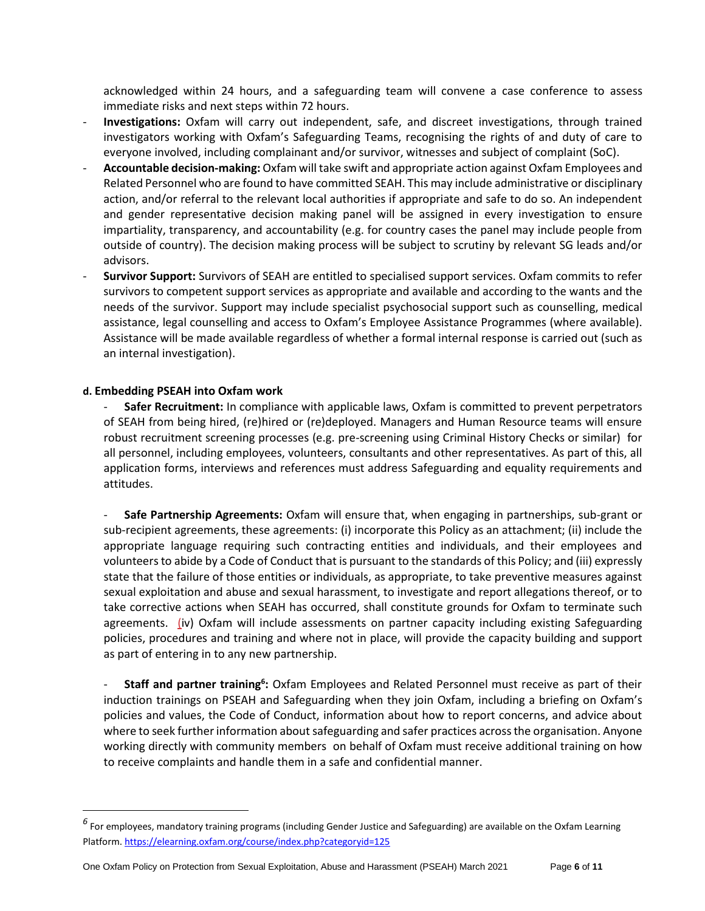acknowledged within 24 hours, and a safeguarding team will convene a case conference to assess immediate risks and next steps within 72 hours.

- **Investigations:** Oxfam will carry out independent, safe, and discreet investigations, through trained investigators working with Oxfam's Safeguarding Teams, recognising the rights of and duty of care to everyone involved, including complainant and/or survivor, witnesses and subject of complaint (SoC).
- **Accountable decision-making:** Oxfam will take swift and appropriate action against Oxfam Employees and Related Personnel who are found to have committed SEAH. This may include administrative or disciplinary action, and/or referral to the relevant local authorities if appropriate and safe to do so. An independent and gender representative decision making panel will be assigned in every investigation to ensure impartiality, transparency, and accountability (e.g. for country cases the panel may include people from outside of country). The decision making process will be subject to scrutiny by relevant SG leads and/or advisors.
- **Survivor Support:** Survivors of SEAH are entitled to specialised support services. Oxfam commits to refer survivors to competent support services as appropriate and available and according to the wants and the needs of the survivor. Support may include specialist psychosocial support such as counselling, medical assistance, legal counselling and access to Oxfam's Employee Assistance Programmes (where available). Assistance will be made available regardless of whether a formal internal response is carried out (such as an internal investigation).

#### **d. Embedding PSEAH into Oxfam work**

- **Safer Recruitment:** In compliance with applicable laws, Oxfam is committed to prevent perpetrators of SEAH from being hired, (re)hired or (re)deployed. Managers and Human Resource teams will ensure robust recruitment screening processes (e.g. pre-screening using Criminal History Checks or similar) for all personnel, including employees, volunteers, consultants and other representatives. As part of this, all application forms, interviews and references must address Safeguarding and equality requirements and attitudes.

- **Safe Partnership Agreements:** Oxfam will ensure that, when engaging in partnerships, sub-grant or sub-recipient agreements, these agreements: (i) incorporate this Policy as an attachment; (ii) include the appropriate language requiring such contracting entities and individuals, and their employees and volunteers to abide by a Code of Conduct that is pursuant to the standards of this Policy; and (iii) expressly state that the failure of those entities or individuals, as appropriate, to take preventive measures against sexual exploitation and abuse and sexual harassment, to investigate and report allegations thereof, or to take corrective actions when SEAH has occurred, shall constitute grounds for Oxfam to terminate such agreements. (iv) Oxfam will include assessments on partner capacity including existing Safeguarding policies, procedures and training and where not in place, will provide the capacity building and support as part of entering in to any new partnership.

- **Staff and partner training<sup>6</sup>:** Oxfam Employees and Related Personnel must receive as part of their induction trainings on PSEAH and Safeguarding when they join Oxfam, including a briefing on Oxfam's policies and values, the Code of Conduct, information about how to report concerns, and advice about where to seek further information about safeguarding and safer practices across the organisation. Anyone working directly with community members on behalf of Oxfam must receive additional training on how to receive complaints and handle them in a safe and confidential manner.

*<sup>6</sup>* For employees, mandatory training programs (including Gender Justice and Safeguarding) are available on the Oxfam Learning Platform[. https://elearning.oxfam.org/course/index.php?categoryid=125](https://elearning.oxfam.org/course/index.php?categoryid=125)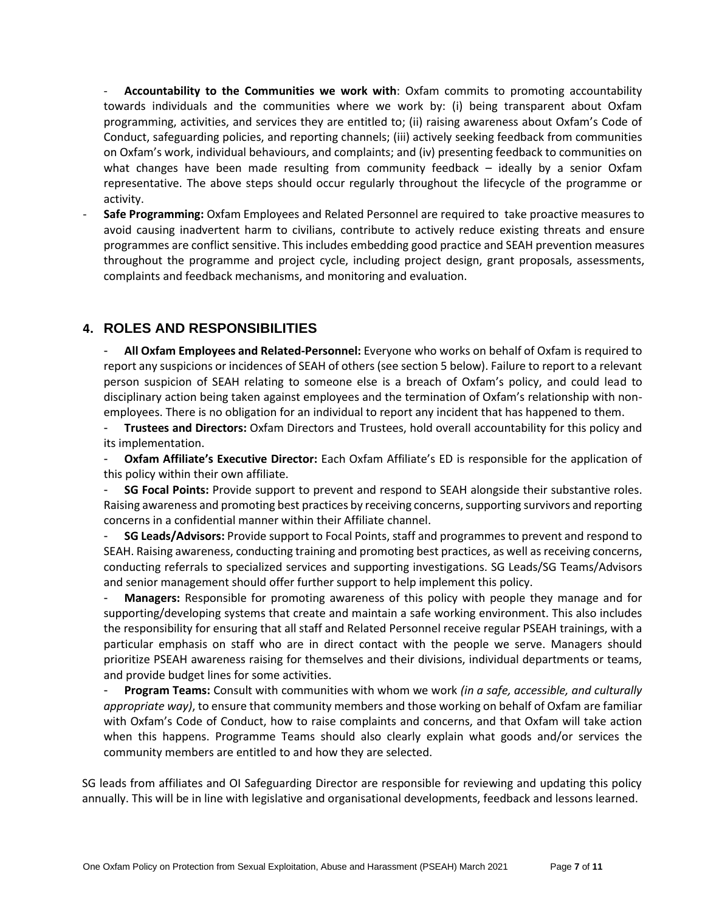- **Accountability to the Communities we work with**: Oxfam commits to promoting accountability towards individuals and the communities where we work by: (i) being transparent about Oxfam programming, activities, and services they are entitled to; (ii) raising awareness about Oxfam's Code of Conduct, safeguarding policies, and reporting channels; (iii) actively seeking feedback from communities on Oxfam's work, individual behaviours, and complaints; and (iv) presenting feedback to communities on what changes have been made resulting from community feedback – ideally by a senior Oxfam representative. The above steps should occur regularly throughout the lifecycle of the programme or activity.

- **Safe Programming:** Oxfam Employees and Related Personnel are required to take proactive measures to avoid causing inadvertent harm to civilians, contribute to actively reduce existing threats and ensure programmes are conflict sensitive. This includes embedding good practice and SEAH prevention measures throughout the programme and project cycle, including project design, grant proposals, assessments, complaints and feedback mechanisms, and monitoring and evaluation.

### <span id="page-6-0"></span>**4. ROLES AND RESPONSIBILITIES**

- **All Oxfam Employees and Related-Personnel:** Everyone who works on behalf of Oxfam is required to report any suspicions or incidences of SEAH of others (see section 5 below). Failure to report to a relevant person suspicion of SEAH relating to someone else is a breach of Oxfam's policy, and could lead to disciplinary action being taken against employees and the termination of Oxfam's relationship with nonemployees. There is no obligation for an individual to report any incident that has happened to them.

- **Trustees and Directors:** Oxfam Directors and Trustees, hold overall accountability for this policy and its implementation.

- **Oxfam Affiliate's Executive Director:** Each Oxfam Affiliate's ED is responsible for the application of this policy within their own affiliate.

- **SG Focal Points:** Provide support to prevent and respond to SEAH alongside their substantive roles. Raising awareness and promoting best practices by receiving concerns, supporting survivors and reporting concerns in a confidential manner within their Affiliate channel.

- **SG Leads/Advisors:** Provide support to Focal Points, staff and programmes to prevent and respond to SEAH. Raising awareness, conducting training and promoting best practices, as well as receiving concerns, conducting referrals to specialized services and supporting investigations. SG Leads/SG Teams/Advisors and senior management should offer further support to help implement this policy.

- **Managers:** Responsible for promoting awareness of this policy with people they manage and for supporting/developing systems that create and maintain a safe working environment. This also includes the responsibility for ensuring that all staff and Related Personnel receive regular PSEAH trainings, with a particular emphasis on staff who are in direct contact with the people we serve. Managers should prioritize PSEAH awareness raising for themselves and their divisions, individual departments or teams, and provide budget lines for some activities.

- **Program Teams:** Consult with communities with whom we work *(in a safe, accessible, and culturally appropriate way)*, to ensure that community members and those working on behalf of Oxfam are familiar with Oxfam's Code of Conduct, how to raise complaints and concerns, and that Oxfam will take action when this happens. Programme Teams should also clearly explain what goods and/or services the community members are entitled to and how they are selected.

SG leads from affiliates and OI Safeguarding Director are responsible for reviewing and updating this policy annually. This will be in line with legislative and organisational developments, feedback and lessons learned.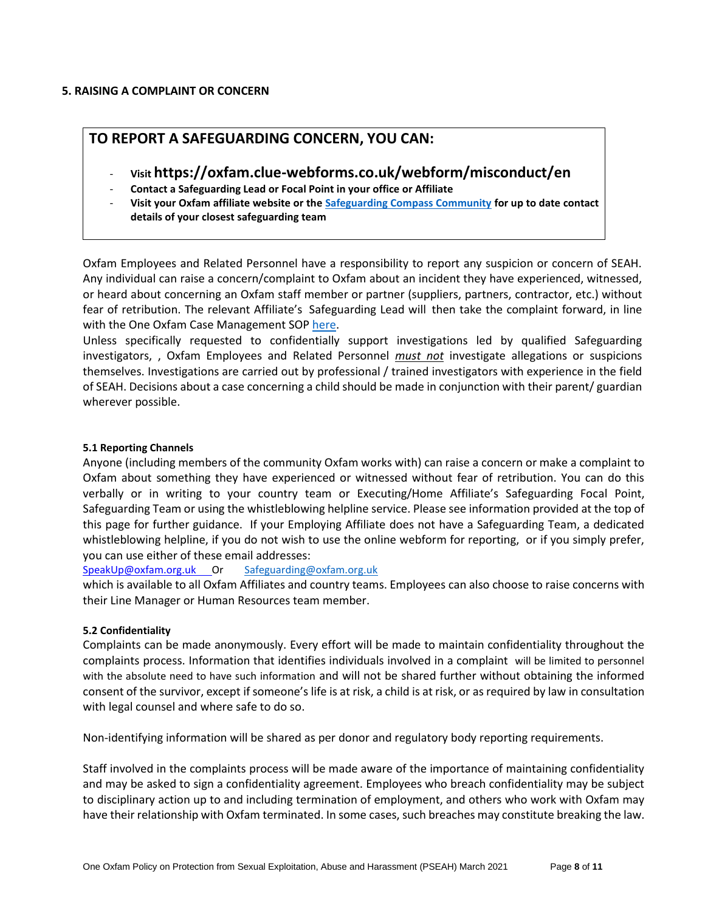#### <span id="page-7-0"></span>**5. RAISING A COMPLAINT OR CONCERN**

### **TO REPORT A SAFEGUARDING CONCERN, YOU CAN:**

- **Visit https://oxfam.clue-webforms.co.uk/webform/misconduct/en**
- **Contact a Safeguarding Lead or Focal Point in your office or Affiliate**
- **Visit your Oxfam affiliate website or th[e Safeguarding Compass Community](https://compass.oxfam.org/communities/safeguarding-community/wiki/reporting-safeguarding-concern) for up to date contact details of your closest safeguarding team**

Oxfam Employees and Related Personnel have a responsibility to report any suspicion or concern of SEAH. Any individual can raise a concern/complaint to Oxfam about an incident they have experienced, witnessed, or heard about concerning an Oxfam staff member or partner (suppliers, partners, contractor, etc.) without fear of retribution. The relevant Affiliate's Safeguarding Lead will then take the complaint forward, in line with the One Oxfam Case Management SOP [here.](https://oxfam.box.com/s/6qjy15neluckc4d2zjf2vcfoqoyj2dt5)

Unless specifically requested to confidentially support investigations led by qualified Safeguarding investigators, , Oxfam Employees and Related Personnel *must not* investigate allegations or suspicions themselves. Investigations are carried out by professional / trained investigators with experience in the field of SEAH. Decisions about a case concerning a child should be made in conjunction with their parent/ guardian wherever possible.

#### **5.1 Reporting Channels**

Anyone (including members of the community Oxfam works with) can raise a concern or make a complaint to Oxfam about something they have experienced or witnessed without fear of retribution. You can do this verbally or in writing to your country team or Executing/Home Affiliate's Safeguarding Focal Point, Safeguarding Team or using the whistleblowing helpline service. Please see information provided at the top of this page for further guidance. If your Employing Affiliate does not have a Safeguarding Team, a dedicated whistleblowing helpline, if you do not wish to use the online webform for reporting, or if you simply prefer, you can use either of these email addresses:

[SpeakUp@oxfam.org.uk](mailto:SpeakUp@oxfam.org.uk) Or [Safeguarding@oxfam.org.uk](mailto:Safeguarding@oxfam.org.uk)

which is available to all Oxfam Affiliates and country teams. Employees can also choose to raise concerns with their Line Manager or Human Resources team member.

### **5.2 Confidentiality**

Complaints can be made anonymously. Every effort will be made to maintain confidentiality throughout the complaints process. Information that identifies individuals involved in a complaint will be limited to personnel with the absolute need to have such information and will not be shared further without obtaining the informed consent of the survivor, except if someone's life is at risk, a child is at risk, or as required by law in consultation with legal counsel and where safe to do so.

Non-identifying information will be shared as per donor and regulatory body reporting requirements.

Staff involved in the complaints process will be made aware of the importance of maintaining confidentiality and may be asked to sign a confidentiality agreement. Employees who breach confidentiality may be subject to disciplinary action up to and including termination of employment, and others who work with Oxfam may have their relationship with Oxfam terminated. In some cases, such breaches may constitute breaking the law.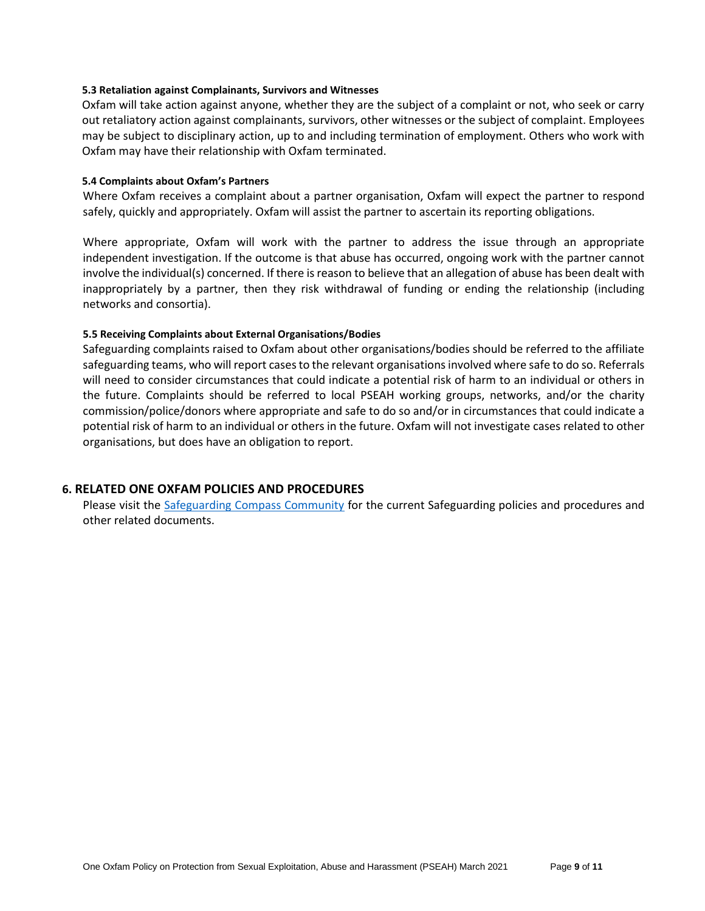#### **5.3 Retaliation against Complainants, Survivors and Witnesses**

Oxfam will take action against anyone, whether they are the subject of a complaint or not, who seek or carry out retaliatory action against complainants, survivors, other witnesses or the subject of complaint. Employees may be subject to disciplinary action, up to and including termination of employment. Others who work with Oxfam may have their relationship with Oxfam terminated.

#### **5.4 Complaints about Oxfam's Partners**

Where Oxfam receives a complaint about a partner organisation, Oxfam will expect the partner to respond safely, quickly and appropriately. Oxfam will assist the partner to ascertain its reporting obligations.

Where appropriate, Oxfam will work with the partner to address the issue through an appropriate independent investigation. If the outcome is that abuse has occurred, ongoing work with the partner cannot involve the individual(s) concerned. If there is reason to believe that an allegation of abuse has been dealt with inappropriately by a partner, then they risk withdrawal of funding or ending the relationship (including networks and consortia).

#### **5.5 Receiving Complaints about External Organisations/Bodies**

Safeguarding complaints raised to Oxfam about other organisations/bodies should be referred to the affiliate safeguarding teams, who will report cases to the relevant organisations involved where safe to do so. Referrals will need to consider circumstances that could indicate a potential risk of harm to an individual or others in the future. Complaints should be referred to local PSEAH working groups, networks, and/or the charity commission/police/donors where appropriate and safe to do so and/or in circumstances that could indicate a potential risk of harm to an individual or others in the future. Oxfam will not investigate cases related to other organisations, but does have an obligation to report.

### <span id="page-8-0"></span>**6. RELATED ONE OXFAM POLICIES AND PROCEDURES**

Please visit the [Safeguarding Compass Community](https://compass.oxfam.org/communities/safeguarding-community/wiki/reporting-safeguarding-concern) for the current Safeguarding policies and procedures and other related documents.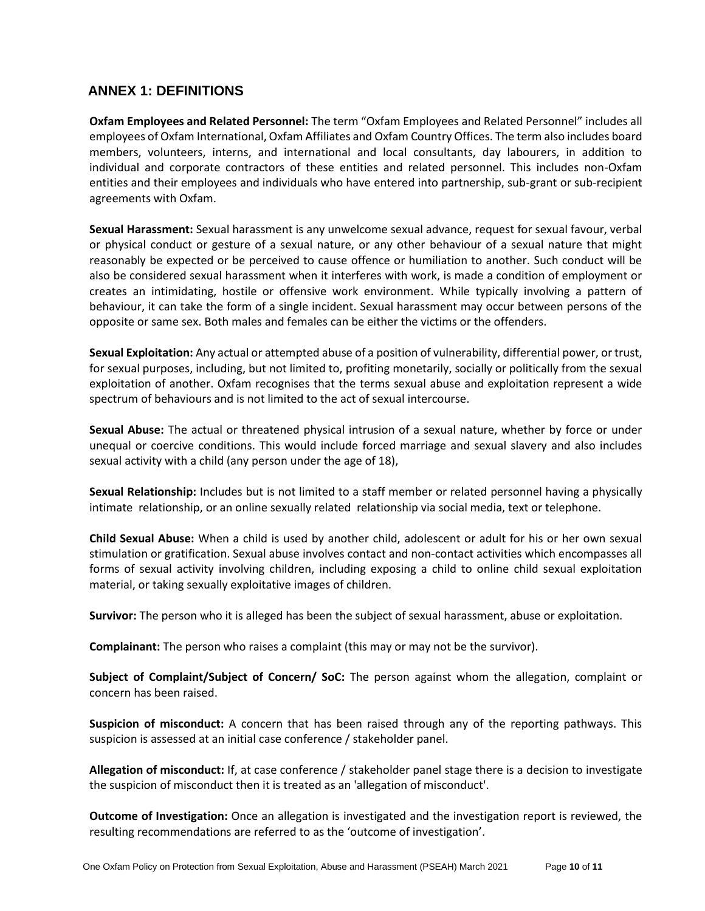### <span id="page-9-0"></span>**ANNEX 1: DEFINITIONS**

**Oxfam Employees and Related Personnel:** The term "Oxfam Employees and Related Personnel" includes all employees of Oxfam International, Oxfam Affiliates and Oxfam Country Offices. The term also includes board members, volunteers, interns, and international and local consultants, day labourers, in addition to individual and corporate contractors of these entities and related personnel. This includes non-Oxfam entities and their employees and individuals who have entered into partnership, sub-grant or sub-recipient agreements with Oxfam.

**Sexual Harassment:** Sexual harassment is any unwelcome sexual advance, request for sexual favour, verbal or physical conduct or gesture of a sexual nature, or any other behaviour of a sexual nature that might reasonably be expected or be perceived to cause offence or humiliation to another. Such conduct will be also be considered sexual harassment when it interferes with work, is made a condition of employment or creates an intimidating, hostile or offensive work environment. While typically involving a pattern of behaviour, it can take the form of a single incident. Sexual harassment may occur between persons of the opposite or same sex. Both males and females can be either the victims or the offenders.

**Sexual Exploitation:** Any actual or attempted abuse of a position of vulnerability, differential power, or trust, for sexual purposes, including, but not limited to, profiting monetarily, socially or politically from the sexual exploitation of another. Oxfam recognises that the terms sexual abuse and exploitation represent a wide spectrum of behaviours and is not limited to the act of sexual intercourse.

**Sexual Abuse:** The actual or threatened physical intrusion of a sexual nature, whether by force or under unequal or coercive conditions. This would include forced marriage and sexual slavery and also includes sexual activity with a child (any person under the age of 18),

**Sexual Relationship:** Includes but is not limited to a staff member or related personnel having a physically intimate relationship, or an online sexually related relationship via social media, text or telephone.

**Child Sexual Abuse:** When a child is used by another child, adolescent or adult for his or her own sexual stimulation or gratification. Sexual abuse involves contact and non-contact activities which encompasses all forms of sexual activity involving children, including exposing a child to online child sexual exploitation material, or taking sexually exploitative images of children.

**Survivor:** The person who it is alleged has been the subject of sexual harassment, abuse or exploitation.

**Complainant:** The person who raises a complaint (this may or may not be the survivor).

**Subject of Complaint/Subject of Concern/ SoC:** The person against whom the allegation, complaint or concern has been raised.

**Suspicion of misconduct:** A concern that has been raised through any of the reporting pathways. This suspicion is assessed at an initial case conference / stakeholder panel.

**Allegation of misconduct:** If, at case conference / stakeholder panel stage there is a decision to investigate the suspicion of misconduct then it is treated as an 'allegation of misconduct'.

**Outcome of Investigation:** Once an allegation is investigated and the investigation report is reviewed, the resulting recommendations are referred to as the 'outcome of investigation'.